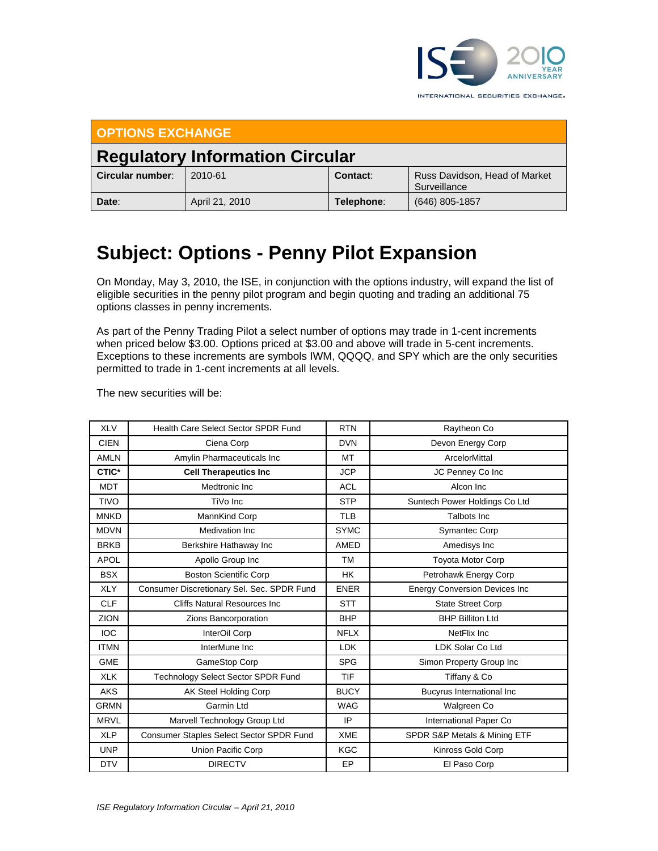

INTERNATIONAL SECURITIES EXCHANGE.

| <b>OPTIONS EXCHANGE</b>                |                |            |                                               |  |  |  |
|----------------------------------------|----------------|------------|-----------------------------------------------|--|--|--|
| <b>Regulatory Information Circular</b> |                |            |                                               |  |  |  |
| Circular number:                       | 2010-61        | Contact:   | Russ Davidson, Head of Market<br>Surveillance |  |  |  |
| Date:                                  | April 21, 2010 | Telephone: | $(646)$ 805-1857                              |  |  |  |

## **Subject: Options - Penny Pilot Expansion**

On Monday, May 3, 2010, the ISE, in conjunction with the options industry, will expand the list of eligible securities in the penny pilot program and begin quoting and trading an additional 75 options classes in penny increments.

As part of the Penny Trading Pilot a select number of options may trade in 1-cent increments when priced below \$3.00. Options priced at \$3.00 and above will trade in 5-cent increments. Exceptions to these increments are symbols IWM, QQQQ, and SPY which are the only securities permitted to trade in 1-cent increments at all levels.

The new securities will be:

| <b>XLV</b>  | Health Care Select Sector SPDR Fund        | <b>RTN</b>  | Raytheon Co                          |
|-------------|--------------------------------------------|-------------|--------------------------------------|
| <b>CIEN</b> | Ciena Corp                                 | <b>DVN</b>  | Devon Energy Corp                    |
| <b>AMLN</b> | Amylin Pharmaceuticals Inc                 | <b>MT</b>   | ArcelorMittal                        |
| CTIC*       | <b>Cell Therapeutics Inc</b>               | <b>JCP</b>  | JC Penney Co Inc                     |
| <b>MDT</b>  | Medtronic Inc                              | <b>ACL</b>  | Alcon Inc                            |
| <b>TIVO</b> | TiVo Inc                                   | <b>STP</b>  | Suntech Power Holdings Co Ltd        |
| <b>MNKD</b> | MannKind Corp                              | <b>TLB</b>  | Talbots Inc                          |
| <b>MDVN</b> | Medivation Inc.                            | <b>SYMC</b> | <b>Symantec Corp</b>                 |
| <b>BRKB</b> | Berkshire Hathaway Inc                     | AMED        | Amedisys Inc                         |
| <b>APOL</b> | Apollo Group Inc                           | <b>TM</b>   | <b>Toyota Motor Corp</b>             |
| <b>BSX</b>  | <b>Boston Scientific Corp</b>              | <b>HK</b>   | Petrohawk Energy Corp                |
| <b>XLY</b>  | Consumer Discretionary Sel. Sec. SPDR Fund | <b>ENER</b> | <b>Energy Conversion Devices Inc</b> |
| <b>CLF</b>  | <b>Cliffs Natural Resources Inc.</b>       | <b>STT</b>  | <b>State Street Corp</b>             |
| <b>ZION</b> | Zions Bancorporation                       | <b>BHP</b>  | <b>BHP Billiton Ltd</b>              |
| <b>IOC</b>  | InterOil Corp                              | <b>NFLX</b> | NetFlix Inc                          |
| <b>ITMN</b> | InterMune Inc                              | <b>LDK</b>  | LDK Solar Co Ltd                     |
| <b>GME</b>  | <b>GameStop Corp</b>                       | <b>SPG</b>  | Simon Property Group Inc             |
| <b>XLK</b>  | <b>Technology Select Sector SPDR Fund</b>  | TIF         | Tiffany & Co                         |
| <b>AKS</b>  | AK Steel Holding Corp                      | <b>BUCY</b> | <b>Bucyrus International Inc</b>     |
| <b>GRMN</b> | Garmin Ltd                                 | <b>WAG</b>  | Walgreen Co                          |
| <b>MRVL</b> | Marvell Technology Group Ltd               | IP          | International Paper Co               |
| <b>XLP</b>  | Consumer Staples Select Sector SPDR Fund   | <b>XME</b>  | SPDR S&P Metals & Mining ETF         |
| <b>UNP</b>  | Union Pacific Corp                         | <b>KGC</b>  | Kinross Gold Corp                    |
| <b>DTV</b>  | <b>DIRECTV</b>                             | EP          | El Paso Corp                         |